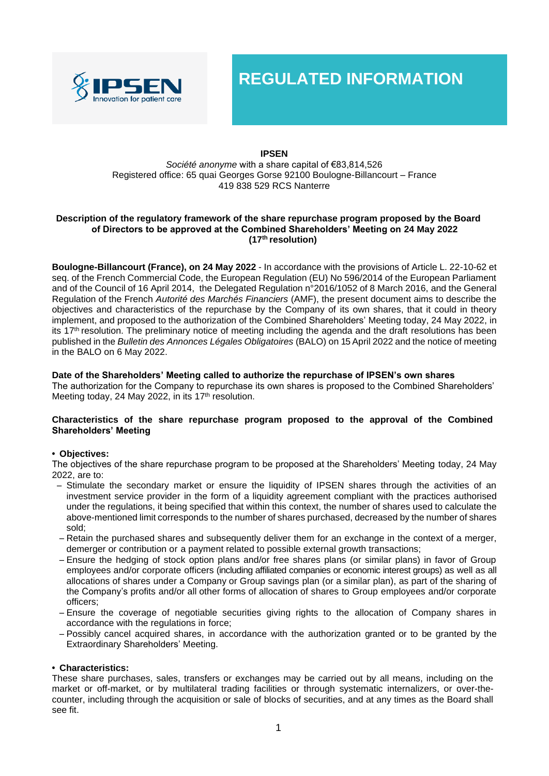

**REGULATED INFORMATION**

# **IPSEN**

## *Société anonyme* with a share capital of €83,814,526 Registered office: 65 quai Georges Gorse 92100 Boulogne-Billancourt – France 419 838 529 RCS Nanterre

## **Description of the regulatory framework of the share repurchase program proposed by the Board of Directors to be approved at the Combined Shareholders' Meeting on 24 May 2022 (17 th resolution)**

**Boulogne-Billancourt (France), on 24 May 2022** - In accordance with the provisions of Article L. 22-10-62 et seq. of the French Commercial Code, the European Regulation (EU) No 596/2014 of the European Parliament and of the Council of 16 April 2014, the Delegated Regulation n°2016/1052 of 8 March 2016, and the General Regulation of the French *Autorité des Marchés Financiers* (AMF), the present document aims to describe the objectives and characteristics of the repurchase by the Company of its own shares, that it could in theory implement, and proposed to the authorization of the Combined Shareholders' Meeting today, 24 May 2022, in its 17<sup>th</sup> resolution. The preliminary notice of meeting including the agenda and the draft resolutions has been published in the *Bulletin des Annonces Légales Obligatoires* (BALO) on 15 April 2022 and the notice of meeting in the BALO on 6 May 2022.

# **Date of the Shareholders' Meeting called to authorize the repurchase of IPSEN's own shares**

The authorization for the Company to repurchase its own shares is proposed to the Combined Shareholders' Meeting today, 24 May 2022, in its 17<sup>th</sup> resolution.

## **Characteristics of the share repurchase program proposed to the approval of the Combined Shareholders' Meeting**

# **• Objectives:**

The objectives of the share repurchase program to be proposed at the Shareholders' Meeting today, 24 May 2022, are to:

- Stimulate the secondary market or ensure the liquidity of IPSEN shares through the activities of an investment service provider in the form of a liquidity agreement compliant with the practices authorised under the regulations, it being specified that within this context, the number of shares used to calculate the above-mentioned limit corresponds to the number of shares purchased, decreased by the number of shares sold;
- Retain the purchased shares and subsequently deliver them for an exchange in the context of a merger, demerger or contribution or a payment related to possible external growth transactions;
- Ensure the hedging of stock option plans and/or free shares plans (or similar plans) in favor of Group employees and/or corporate officers (including affiliated companies or economic interest groups) as well as all allocations of shares under a Company or Group savings plan (or a similar plan), as part of the sharing of the Company's profits and/or all other forms of allocation of shares to Group employees and/or corporate officers;
- Ensure the coverage of negotiable securities giving rights to the allocation of Company shares in accordance with the regulations in force;
- Possibly cancel acquired shares, in accordance with the authorization granted or to be granted by the Extraordinary Shareholders' Meeting.

# **• Characteristics:**

These share purchases, sales, transfers or exchanges may be carried out by all means, including on the market or off-market, or by multilateral trading facilities or through systematic internalizers, or over-thecounter, including through the acquisition or sale of blocks of securities, and at any times as the Board shall see fit.